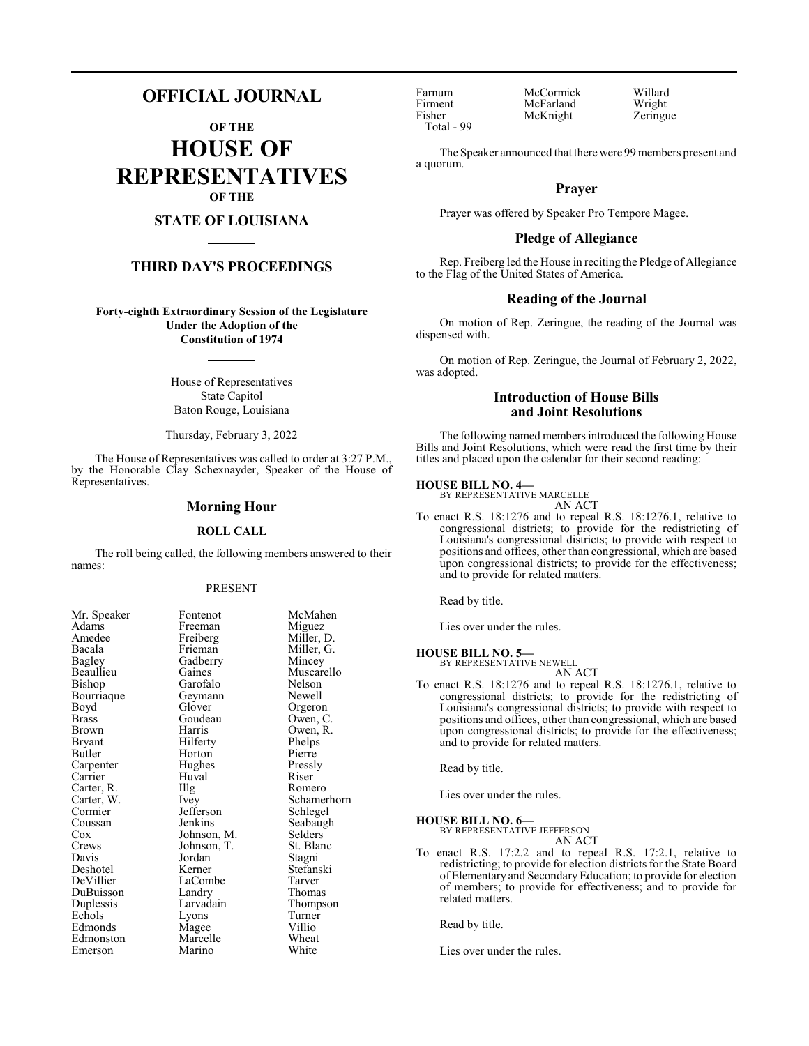# **OFFICIAL JOURNAL**

**OF THE HOUSE OF REPRESENTATIVES OF THE**

## **STATE OF LOUISIANA**

## **THIRD DAY'S PROCEEDINGS**

**Forty-eighth Extraordinary Session of the Legislature Under the Adoption of the Constitution of 1974**

> House of Representatives State Capitol Baton Rouge, Louisiana

Thursday, February 3, 2022

The House of Representatives was called to order at 3:27 P.M., by the Honorable Clay Schexnayder, Speaker of the House of Representatives.

## **Morning Hour**

### **ROLL CALL**

The roll being called, the following members answered to their names:

#### PRESENT

Miller, G.<br>Mincey

Muscarello<br>Nelson

Owen, R.<br>Phelps

Schamerhorn<br>Schlegel

Seabaugh<br>Selders

Stefanski<br>Tarver

Thompson<br>Turner

| NIT. Speaker          |
|-----------------------|
| Adams                 |
| Amedee                |
| Bacala                |
| <b>Bagley</b>         |
| Beaullieu             |
| Bishop                |
| Bourriaque            |
| Boyd                  |
| <b>Brass</b>          |
| Brown                 |
| Bryant                |
| <b>Butler</b>         |
| Carpenter             |
| Carrier               |
| Carter, R.            |
| Carter, W.<br>Cormier |
|                       |
| Coussan               |
| Cox                   |
| Crews                 |
| Davis                 |
| Deshotel              |
| DeVillier             |
| DuBuisson             |
| Duplessis             |
| Echols                |
| Edmonds               |
| Edmonston             |
| Emerson               |

Mr. Speaker Fontenot McMahen<br>Adams Freeman Miguez Freeman Miguez<br>Freiberg Miller, I Freiberg Miller, D.<br>Frieman Miller, G. Gadberry<br>Gaines Garofalo Nelson<br>Gevmann Newell Geymann<br>Glover Glover Orgeron<br>Goudeau Owen, C Goudeau Owen, C.<br>Harris Owen R Hilferty Phelps<br>
Horton Pierre Horton Pierre<br>
Hughes Pressly Hughes Pressl<br>Huval Riser The Romero<br>
Ivev Schamer Jefferson<br>Jenkins Johnson, M. Selders<br>Johnson, T. St. Blanc Johnson, T.<br>Jordan Jordan Stagni<br>Kerner Stefans LaCombe<br>Landry Landry Thomas<br>Larvadain Thomps Lyons Turne<br>
Magee Villio Magee Villio<br>
Marcelle Wheat Marcelle Wheat<br>
Marino White Marino

Huval

Total - 99

Farnum McCormick Willard<br>Firment McFarland Wright Firment McFarland Wright<br>
Fisher McKnight Zeringue McKnight

The Speaker announced that there were 99 members present and a quorum.

## **Prayer**

Prayer was offered by Speaker Pro Tempore Magee.

## **Pledge of Allegiance**

Rep. Freiberg led the House in reciting the Pledge of Allegiance to the Flag of the United States of America.

## **Reading of the Journal**

On motion of Rep. Zeringue, the reading of the Journal was dispensed with.

On motion of Rep. Zeringue, the Journal of February 2, 2022, was adopted.

## **Introduction of House Bills and Joint Resolutions**

The following named members introduced the following House Bills and Joint Resolutions, which were read the first time by their titles and placed upon the calendar for their second reading:

## **HOUSE BILL NO. 4—**

BY REPRESENTATIVE MARCELLE AN ACT

To enact R.S. 18:1276 and to repeal R.S. 18:1276.1, relative to congressional districts; to provide for the redistricting of Louisiana's congressional districts; to provide with respect to positions and offices, other than congressional, which are based upon congressional districts; to provide for the effectiveness; and to provide for related matters.

Read by title.

Lies over under the rules.

#### **HOUSE BILL NO. 5—**

BY REPRESENTATIVE NEWELL AN ACT

To enact R.S. 18:1276 and to repeal R.S. 18:1276.1, relative to congressional districts; to provide for the redistricting of Louisiana's congressional districts; to provide with respect to positions and offices, other than congressional, which are based upon congressional districts; to provide for the effectiveness; and to provide for related matters.

Read by title.

Lies over under the rules.

## **HOUSE BILL NO. 6—**

BY REPRESENTATIVE JEFFERSON AN ACT

To enact R.S. 17:2.2 and to repeal R.S. 17:2.1, relative to redistricting; to provide for election districts for the State Board of Elementary and SecondaryEducation; to provide for election of members; to provide for effectiveness; and to provide for related matters.

Read by title.

Lies over under the rules.